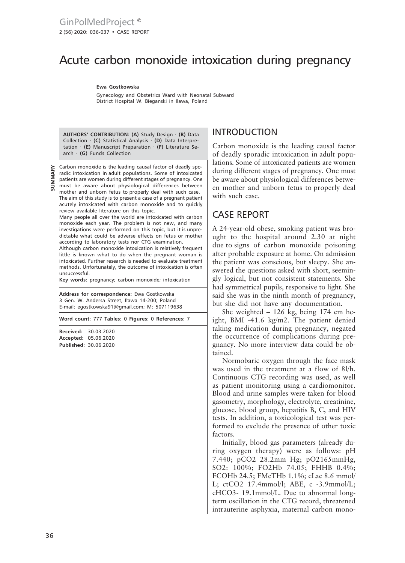# Acute carbon monoxide intoxication during pregnancy

**Ewa Gostkowska**

Gynecology and Obstetrics Ward with Neonatal Subward District Hospital W. Bieganski in Ilawa, Poland

**AUTHORS' CONTRIBUTION: (A)** Study Design · **(B)** Data Collection · **(C)** Statistical Analysis · **(D)** Data Interpretation · **(E)** Manuscript Preparation · **(F)** Literature Search · **(G)** Funds Collection

**SUMMARY**

Carbon monoxide is the leading causal factor of deadly sporadic intoxication in adult populations. Some of intoxicated patients are women during different stages of pregnancy. One must be aware about physiological differences between mother and unborn fetus to properly deal with such case.

The aim of this study is to present a case of a pregnant patient acutely intoxicated with carbon monoxide and to quickly review available literature on this topic.

Many people all over the world are intoxicated with carbon monoxide each year. The problem is not new, and many investigations were performed on this topic, but it is unpredictable what could be adverse effects on fetus or mother according to laboratory tests nor CTG examination.

Although carbon monoxide intoxication is relatively frequent little is known what to do when the pregnant woman is intoxicated. Further research is needed to evaluate treatment methods. Unfortunately, the outcome of intoxication is often unsuccessful.

**Key words:** pregnancy; carbon monoxide; intoxication

**Address for correspondence:** Ewa Gostkowska 3 Gen. W. Andersa Street, Iława 14-200; Poland E-mail: egostkowska91@gmail.com; M: 507119638

**Word count:** 777 **Tables:** 0 **Figures:** 0 **References:** 7

**Received:** 30.03.2020 **Accepted:** 05.06.2020 **Published:** 30.06.2020

## INTRODUCTION

Carbon monoxide is the leading causal factor of deadly sporadic intoxication in adult populations. Some of intoxicated patients are women during different stages of pregnancy. One must be aware about physiological differences between mother and unborn fetus to properly deal with such case.

#### CASE REPORT

A 24-year-old obese, smoking patient was brought to the hospital around 2.30 at night due to signs of carbon monoxide poisoning after probable exposure at home. On admission the patient was conscious, but sleepy. She answered the questions asked with short, seemingly logical, but not consistent statements. She had symmetrical pupils, responsive to light. She said she was in the ninth month of pregnancy, but she did not have any documentation.

She weighted – 126 kg, being 174 cm height, BMI -41.6 kg/m2. The patient denied taking medication during pregnancy, negated the occurrence of complications during pregnancy. No more interview data could be obtained.

Normobaric oxygen through the face mask was used in the treatment at a flow of 8l/h. Continuous CTG recording was used, as well as patient monitoring using a cardiomonitor. Blood and urine samples were taken for blood gasometry, morphology, electrolyte, creatinine, glucose, blood group, hepatitis B, C, and HIV tests. In addition, a toxicological test was performed to exclude the presence of other toxic factors.

Initially, blood gas parameters (already during oxygen therapy) were as follows: pH 7.440; pCO2 28.2mm Hg; pO2165mmHg, SO2: 100%; FO2Hb 74.05; FHHB 0.4%; FCOHb 24.5; FMeTHb 1.1%; cLac 8.6 mmol/ L; ctCO2 17.4mmol/l; ABE, c -3.9mmol/L; cHCO3- 19.1mmol/L. Due to abnormal longterm oscillation in the CTG record, threatened intrauterine asphyxia, maternal carbon mono